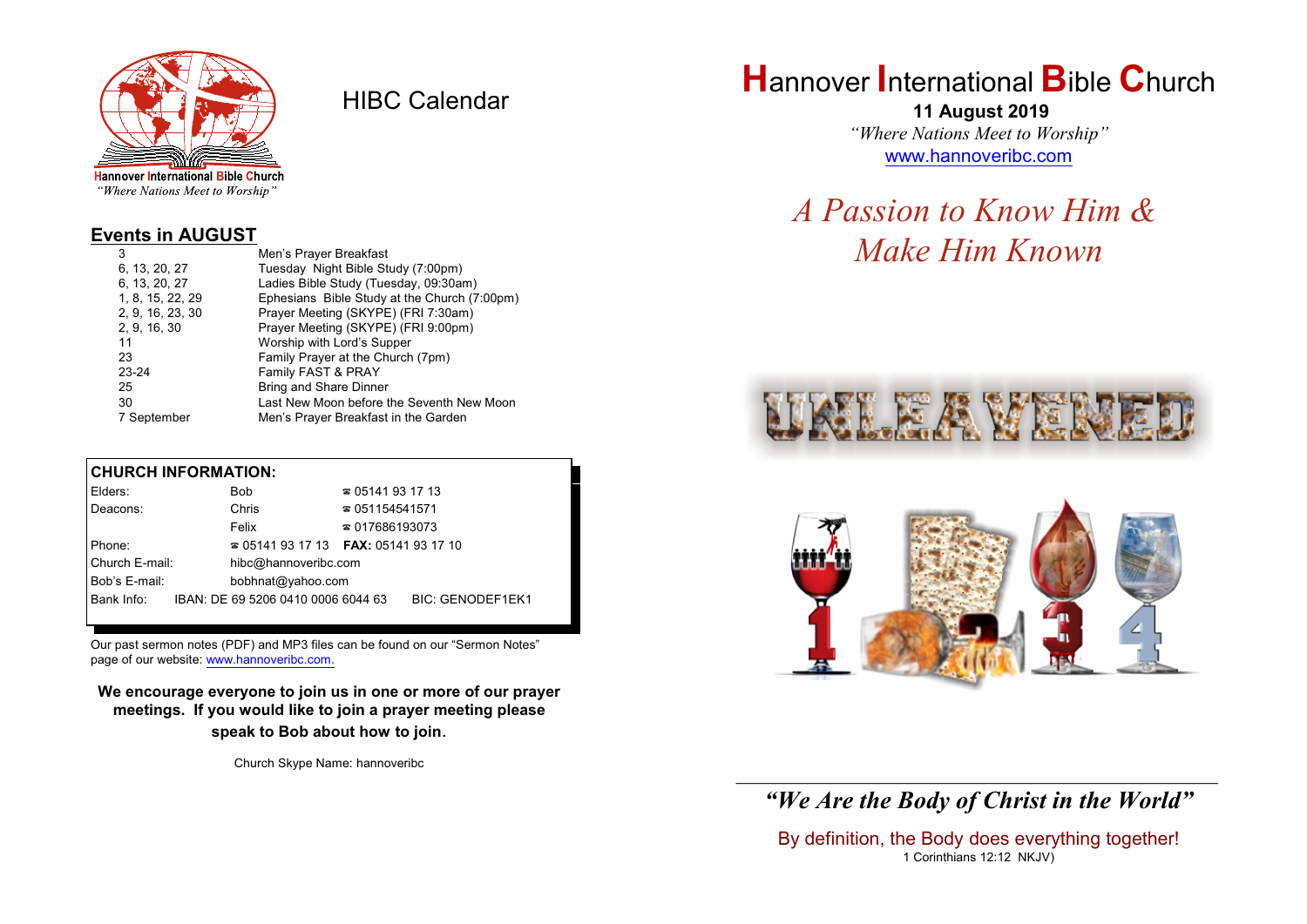

HIBC Calendar

"Where Nations Meet to Worship"

#### **Events in AUGUST**

| 3                | Men's Prayer Breakfast                       |
|------------------|----------------------------------------------|
| 6, 13, 20, 27    | Tuesday Night Bible Study (7:00pm)           |
| 6, 13, 20, 27    | Ladies Bible Study (Tuesday, 09:30am)        |
| 1, 8, 15, 22, 29 | Ephesians Bible Study at the Church (7:00pm) |
| 2, 9, 16, 23, 30 | Prayer Meeting (SKYPE) (FRI 7:30am)          |
| 2, 9, 16, 30     | Prayer Meeting (SKYPE) (FRI 9:00pm)          |
| 11               | Worship with Lord's Supper                   |
| 23               | Family Prayer at the Church (7pm)            |
| $23 - 24$        | Family FAST & PRAY                           |
| 25               | <b>Bring and Share Dinner</b>                |
| 30               | Last New Moon before the Seventh New Moon    |
| 7 September      | Men's Prayer Breakfast in the Garden         |

#### **CHURCH INFORMATION:**

| Elders:        | <b>Bob</b>                               | $\approx 05141931713$  |                         |
|----------------|------------------------------------------|------------------------|-------------------------|
| Deacons:       | Chris                                    | $\approx 051154541571$ |                         |
|                | Felix                                    | $\approx 017686193073$ |                         |
| Phone:         | $\approx 05141931713$ FAX: 0514193 17 10 |                        |                         |
| Church E-mail: | hibc@hannoveribc.com                     |                        |                         |
| Bob's E-mail:  | bobhnat@yahoo.com                        |                        |                         |
| Bank Info:     | IBAN: DE 69 5206 0410 0006 6044 63       |                        | <b>BIC: GENODEF1EK1</b> |
|                |                                          |                        |                         |

Our past sermon notes (PDF) and MP3 files can be found on our "Sermon Notes" page of our website: [www.hannoveribc.com.](http://www.hannoveribc.com.)

**We encourage everyone to join us in one or more of our prayer meetings. If you would like to join a prayer meeting please speak to Bob about how to join**.

Church Skype Name: hannoveribc

## **H**annover **I**nternational **B**ible **C**hurch

 **11 August 2019** *"Where Nations Meet to Worship"* [www.hannoveribc.com](http://www.hannoveribc.com)

# *A Passion to Know Him & Make Him Known*





#### \_\_\_\_\_\_\_\_\_\_\_\_\_\_\_\_\_\_\_\_\_\_\_\_\_\_\_\_\_\_\_\_\_\_\_\_\_\_\_\_\_\_\_\_\_\_\_\_\_\_\_\_\_\_\_\_\_\_\_\_\_\_ *"We Are the Body of Christ in the World"*

By definition, the Body does everything together! 1 Corinthians 12:12 NKJV)